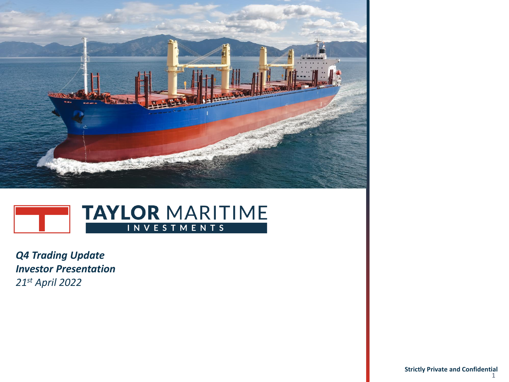



*Q4 Trading Update Investor Presentation 21st April 2022*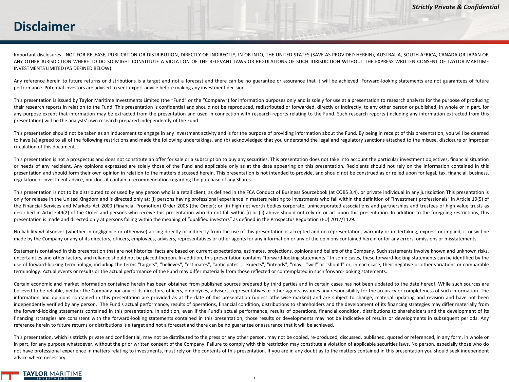#### **Disclaimer**

Important disclosures - NOT FOR RELEASE, PUBLICATION OR DISTRIBUTION, DIRECTLY OR INDIRECTLY, IN OR INTO, THE UNITED STATES (SAVE AS PROVIDED HEREIN), AUSTRALIA, SOUTH AFRICA, CANADA OR JAPAN OR ANY OTHER JURISDICTION WHERE TO DO SO MIGHT CONSTITUTE A VIOLATION OF THE RELEVANT LAWS OR REGULATIONS OF SUCH JURISDICTION WITHOUT THE EXPRESS WRITTEN CONSENT OF TAYLOR MARITIME INVESTMENTS LIMITED (AS DEFINED BELOW).

Any reference herein to future returns or distributions is a target and not a forecast and there can be no guarantee or assurance that it will be achieved. Forward-looking statements are not guarantees of future performance. Potential investors are advised to seek expert advice before making any investment decision.

This presentation is issued by Taylor Maritime Investments Limited (the "Fund" or the "Company") for information purposes only and is solely for use at a presentation to research analysts for the purpose of producing their research reports in relation to the Fund. This presentation is confidential and should not be reproduced, redistributed or forwarded, directly or indirectly, to any other person or published, in whole or in part, for any purpose except that information may be extracted from the presentation and used in connection with research reports relating to the Fund. Such research reports (including any information extracted from this presentation) will be the analysts' own research prepared independently of the Fund.

This presentation should not be taken as an inducement to engage in any investment activity and is for the purpose of providing information about the Fund. By being in receipt of this presentation, you will be deemed to have (a) agreed to all of the following restrictions and made the following undertakings, and (b) acknowledged that you understand the legal and regulatory sanctions attached to the misuse, disclosure or improper circulation of this document.

This presentation is not a prospectus and does not constitute an offer for sale or a subscription to buy any securities. This presentation does not take into account the particular investment objectives, financial situatio or needs of any recipient. Any opinions expressed are solely those of the Fund and applicable only as at the date appearing on this presentation. Recipients should not rely on the information contained in this presentation and should form their own opinion in relation to the matters discussed herein. This presentation is not intended to provide, and should not be construed as or relied upon for legal, tax, financial, business, regulatory or investment advice, nor does it contain a recommendation regarding the purchase of any Shares.

This presentation is not to be distributed to or used by any person who is a retail client, as defined in the FCA Conduct of Business Sourcebook (at COBS 3.4), or private individual in any jurisdiction This presentation is only for release in the United Kingdom and is directed only at: (i) persons having professional experience in matters relating to investments who fall within the definition of "investment professionals" in Article 19(5) of the Financial Services and Markets Act 2000 (Financial Promotion) Order 2005 (the Order); or (ii) high net worth bodies corporate, unincorporated associations and partnerships and trustees of high value trusts as described in Article 49(2) of the Order and persons who receive this presentation who do not fall within (i) or (ii) above should not rely on or act upon this presentation. In addition to the foregoing restrictions, this presentation is made and directed only at persons falling within the meaning of "qualified investors" as defined in the Prospectus Regulation (EU) 2017/1129.

No liability whatsoever (whether in negligence or otherwise) arising directly or indirectly from the use of this presentation is accepted and no representation, warranty or undertaking, express or implied, is or will be made by the Company or any of its directors, officers, employees, advisers, representatives or other agents for any information or any of the opinions contained herein or for any errors, omissions or misstatements.

Statements contained in this presentation that are not historical facts are based on current expectations, estimates, projections, opinions and beliefs of the Company. Such statements involve known and unknown risks, uncertainties and other factors, and reliance should not be placed thereon. In addition, this presentation contains "forward-looking statements." In some cases, these forward-looking statements can be identified by the use of forward-looking terminology, including the terms "targets", "believes", "estimates", "anticipates", "expects", "intends", "may", "will" or "should" or, in each case, their negative or other variations or comparable terminology. Actual events or results or the actual performance of the Fund may differ materially from those reflected or contemplated in such forward-looking statements.

Certain economic and market information contained herein has been obtained from published sources prepared by third parties and in certain cases has not been updated to the date hereof. While such sources are believed to be reliable, neither the Company nor any of its directors, officers, employees, advisers, representatives or other agents assumes any responsibility for the accuracy or completeness of such information. The information and opinions contained in this presentation are provided as at the date of this presentation (unless otherwise marked) and are subject to change, material updating and revision and have not been independently verified by any person. The Fund's actual performance, results of operations, financial condition, distributions to shareholders and the development of its financing strategies may differ materially from the forward-looking statements contained in this presentation. In addition, even if the Fund's actual performance, results of operations, financial condition, distributions to shareholders and the development of its financing strategies are consistent with the forward-looking statements contained in this presentation, those results or developments may not be indicative of results or developments in subsequent periods. Any reference herein to future returns or distributions is a target and not a forecast and there can be no guarantee or assurance that it will be achieved.

This presentation, which is strictly private and confidential, may not be distributed to the press or any other person, may not be copied, re-produced, discussed, published, quoted or referenced, in any form, in whole or in part, for any purpose whatsoever, without the prior written consent of the Company. Failure to comply with this restriction may constitute a violation of applicable securities laws. No person, especially those who do do not have professional experience in matters relating to investments, must rely on the contents of this presentation. If you are in any doubt as to the matters contained in this presentation you should seek independent advice where necessary.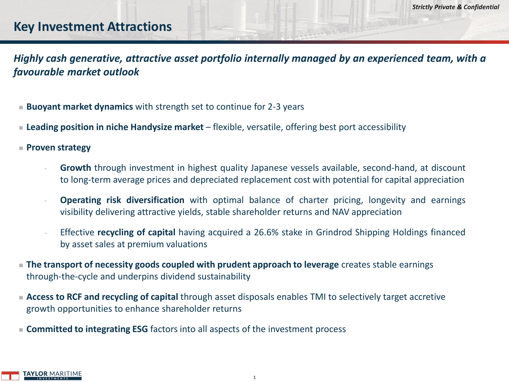#### **Key Investment Attractions**

*Highly cash generative, attractive asset portfolio internally managed by an experienced team, with a favourable market outlook*

- **Buoyant market dynamics** with strength set to continue for 2-3 years
- Leading position in niche Handysize market flexible, versatile, offering best port accessibility
- <sup>◼</sup> **Proven strategy** 
	- **Growth** through investment in highest quality Japanese vessels available, second-hand, at discount to long-term average prices and depreciated replacement cost with potential for capital appreciation
	- **Operating risk diversification** with optimal balance of charter pricing, longevity and earnings visibility delivering attractive yields, stable shareholder returns and NAV appreciation
	- Effective **recycling of capital** having acquired a 26.6% stake in Grindrod Shipping Holdings financed by asset sales at premium valuations
- **The transport of necessity goods coupled with prudent approach to leverage** creates stable earnings through-the-cycle and underpins dividend sustainability
- Access to RCF and recycling of capital through asset disposals enables TMI to selectively target accretive growth opportunities to enhance shareholder returns
- **Committed to integrating ESG** factors into all aspects of the investment process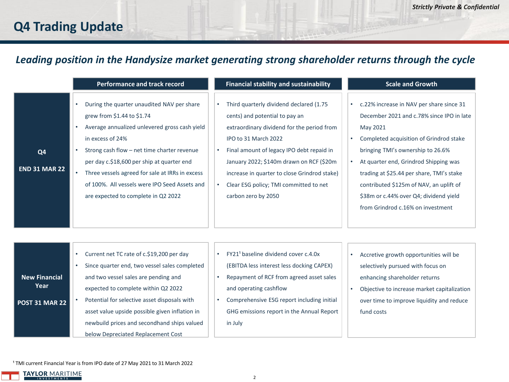# **Q4 Trading Update**

#### *Leading position in the Handysize market generating strong shareholder returns through the cycle*

|                                        | <b>Performance and track record</b>                                                                                                                                                                                                                                                                                                                                                             | <b>Financial stability and sustainability</b>                                                                                                                                                                                                                                                                                                                          | <b>Scale and Growth</b>                                                                                                                                                                                                                                                                                                                                                                                                                  |
|----------------------------------------|-------------------------------------------------------------------------------------------------------------------------------------------------------------------------------------------------------------------------------------------------------------------------------------------------------------------------------------------------------------------------------------------------|------------------------------------------------------------------------------------------------------------------------------------------------------------------------------------------------------------------------------------------------------------------------------------------------------------------------------------------------------------------------|------------------------------------------------------------------------------------------------------------------------------------------------------------------------------------------------------------------------------------------------------------------------------------------------------------------------------------------------------------------------------------------------------------------------------------------|
| Q <sub>4</sub><br><b>END 31 MAR 22</b> | During the quarter unaudited NAV per share<br>grew from \$1.44 to \$1.74<br>Average annualized unlevered gross cash yield<br>in excess of 24%<br>Strong cash flow - net time charter revenue<br>٠<br>per day c.\$18,600 per ship at quarter end<br>Three vessels agreed for sale at IRRs in excess<br>٠<br>of 100%. All vessels were IPO Seed Assets and<br>are expected to complete in Q2 2022 | Third quarterly dividend declared (1.75<br>$\bullet$<br>cents) and potential to pay an<br>extraordinary dividend for the period from<br>IPO to 31 March 2022<br>Final amount of legacy IPO debt repaid in<br>January 2022; \$140m drawn on RCF (\$20m<br>increase in quarter to close Grindrod stake)<br>Clear ESG policy; TMI committed to net<br>carbon zero by 2050 | c.22% increase in NAV per share since 31<br>$\bullet$<br>December 2021 and c.78% since IPO in late<br>May 2021<br>Completed acquisition of Grindrod stake<br>$\bullet$<br>bringing TMI's ownership to 26.6%<br>At quarter end, Grindrod Shipping was<br>$\bullet$<br>trading at \$25.44 per share, TMI's stake<br>contributed \$125m of NAV, an uplift of<br>\$38m or c.44% over Q4; dividend yield<br>from Grindrod c.16% on investment |
| <b>New Financial</b><br>Year           | Current net TC rate of c.\$19,200 per day<br>$\bullet$<br>Since quarter end, two vessel sales completed<br>٠<br>and two vessel sales are pending and<br>expected to complete within Q2 2022                                                                                                                                                                                                     | FY21 <sup>1</sup> baseline dividend cover c.4.0x<br>$\bullet$<br>(EBITDA less interest less docking CAPEX)<br>Repayment of RCF from agreed asset sales<br>and operating cashflow                                                                                                                                                                                       | Accretive growth opportunities will be<br>٠<br>selectively pursued with focus on<br>enhancing shareholder returns<br>Objective to increase market capitalization<br>$\bullet$                                                                                                                                                                                                                                                            |

• Objective to increase market capitalization over time to improve liquidity and reduce fund costs

<sup>1</sup> TMI current Financial Year is from IPO date of 27 May 2021 to 31 March 2022

• Potential for selective asset disposals with asset value upside possible given inflation in newbuild prices and secondhand ships valued

below Depreciated Replacement Cost



**POST 31 MAR 22**

in July

• Comprehensive ESG report including initial GHG emissions report in the Annual Report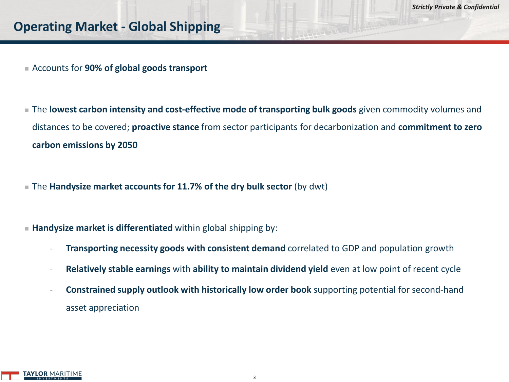- Accounts for 90% of global goods transport
- The **lowest carbon intensity and cost-effective mode of transporting bulk goods** given commodity volumes and distances to be covered; **proactive stance** from sector participants for decarbonization and **commitment to zero carbon emissions by 2050**
- The **Handysize market accounts for 11.7% of the dry bulk sector** (by dwt)
- Handysize market is differentiated within global shipping by:
	- **Transporting necessity goods with consistent demand** correlated to GDP and population growth
	- **Relatively stable earnings** with **ability to maintain dividend yield** even at low point of recent cycle
	- **Constrained supply outlook with historically low order book** supporting potential for second-hand asset appreciation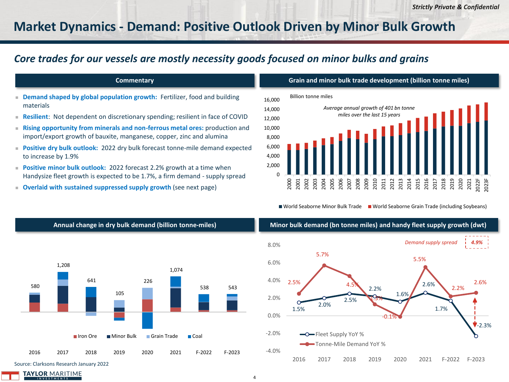### **Market Dynamics - Demand: Positive Outlook Driven by Minor Bulk Growth**

#### *Core trades for our vessels are mostly necessity goods focused on minor bulks and grains*

#### **Commentary**

- **Demand shaped by global population growth:** Fertilizer, food and building materials
- **Resilient**: Not dependent on discretionary spending; resilient in face of COVID
- **Rising opportunity from minerals and non-ferrous metal ores:** production and import/export growth of bauxite, manganese, copper, zinc and alumina
- **Positive dry bulk outlook:** 2022 dry bulk forecast tonne-mile demand expected to increase by 1.9%
- **Positive minor bulk outlook:** 2022 forecast 2.2% growth at a time when Handysize fleet growth is expected to be 1.7%, a firm demand - supply spread
- **Overlaid with sustained suppressed supply growth** (see next page)





■ World Seaborne Minor Bulk Trade ■ World Seaborne Grain Trade (including Soybeans)



#### **Annual change in dry bulk demand (billion tonne-miles) Minor bulk demand (bn tonne miles) and handy fleet supply growth (dwt)**

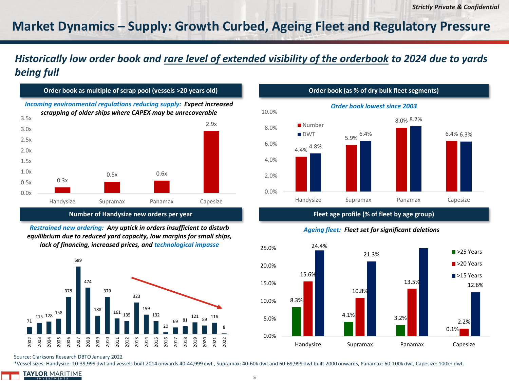## **Market Dynamics – Supply: Growth Curbed, Ageing Fleet and Regulatory Pressure**

#### *Historically low order book and rare level of extended visibility of the orderbook to 2024 due to yards being full*



*Ageing fleet: Fleet set for significant deletions Restrained new ordering: Any uptick in orders insufficient to disturb equilibrium due to reduced yard capacity, low margins for small ships, lack of financing, increased prices, and technological impasse*



Source: Clarksons Research DBTO January 2022

\*Vessel sizes: Handysize: 10-39,999 dwt and vessels built 2014 onwards 40-44,999 dwt , Supramax: 40-60k dwt and 60-69,999 dwt built 2000 onwards, Panamax: 60-100k dwt, Capesize: 100k+ dwt.

**TAYLOR MARITIME** 





5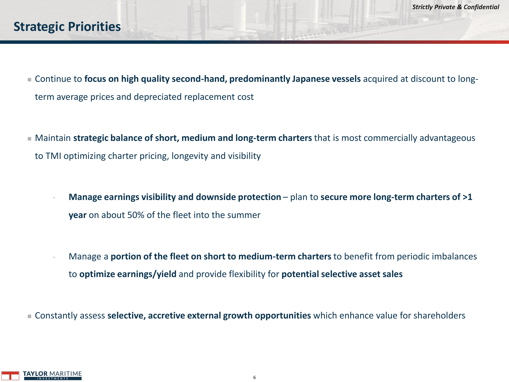### **Strategic Priorities**

- Continue to **focus on high quality second-hand, predominantly Japanese vessels** acquired at discount to longterm average prices and depreciated replacement cost
- Maintain **strategic balance of short, medium and long-term charters** that is most commercially advantageous to TMI optimizing charter pricing, longevity and visibility
	- **Manage earnings visibility and downside protection** plan to secure more long-term charters of >1 **year** on about 50% of the fleet into the summer
	- Manage a **portion of the fleet on short to medium-term charters** to benefit from periodic imbalances to **optimize earnings/yield** and provide flexibility for **potential selective asset sales**

■ Constantly assess **selective, accretive external growth opportunities** which enhance value for shareholders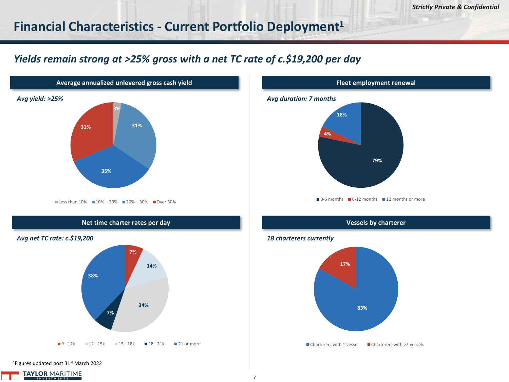#### **Financial Characteristics - Current Portfolio Deployment<sup>1</sup>**

#### *Yields remain strong at >25% gross with a net TC rate of c.\$19,200 per day*



<sup>1</sup>Figures updated post 31<sup>st</sup> March 2022





#### *18 charterers currently*

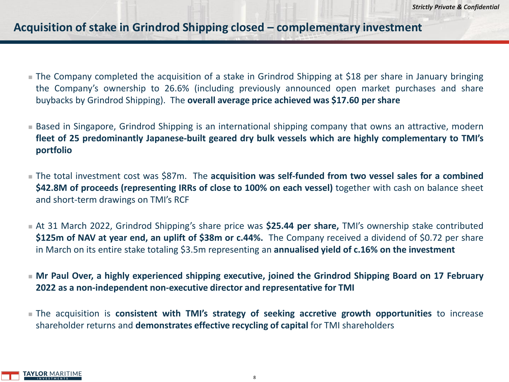#### **Acquisition of stake in Grindrod Shipping closed – complementary investment**

- The Company completed the acquisition of a stake in Grindrod Shipping at \$18 per share in January bringing the Company's ownership to 26.6% (including previously announced open market purchases and share buybacks by Grindrod Shipping). The **overall average price achieved was \$17.60 per share**
- Based in Singapore, Grindrod Shipping is an international shipping company that owns an attractive, modern **fleet of 25 predominantly Japanese-built geared dry bulk vessels which are highly complementary to TMI's portfolio**
- <sup>◼</sup> The total investment cost was \$87m. The **acquisition was self-funded from two vessel sales for a combined \$42.8M of proceeds (representing IRRs of close to 100% on each vessel)** together with cash on balance sheet and short-term drawings on TMI's RCF
- At 31 March 2022, Grindrod Shipping's share price was **\$25.44 per share,** TMI's ownership stake contributed **\$125m of NAV at year end, an uplift of \$38m or c.44%.** The Company received a dividend of \$0.72 per share in March on its entire stake totaling \$3.5m representing an **annualised yield of c.16% on the investment**
- <sup>◼</sup> **Mr Paul Over, a highly experienced shipping executive, joined the Grindrod Shipping Board on 17 February 2022 as a non-independent non-executive director and representative for TMI**
- <sup>◼</sup> The acquisition is **consistent with TMI's strategy of seeking accretive growth opportunities** to increase shareholder returns and **demonstrates effective recycling of capital** for TMI shareholders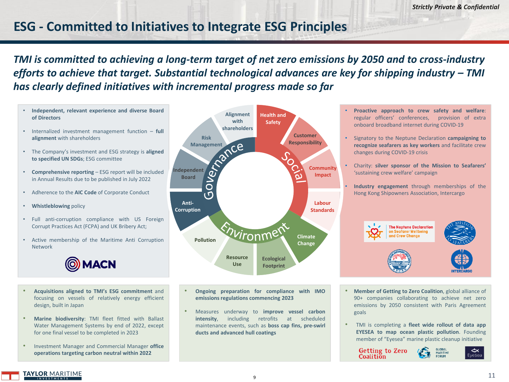## **ESG - Committed to Initiatives to Integrate ESG Principles**

*TMI is committed to achieving a long-term target of net zero emissions by 2050 and to cross-industry efforts to achieve that target. Substantial technological advances are key for shipping industry – TMI has clearly defined initiatives with incremental progress made so far*

- **Independent, relevant experience and diverse Board of Directors**
- Internalized investment management function **full alignment** with shareholders
- The Company's investment and ESG strategy is **aligned to specified UN SDGs**; ESG committee
- **Comprehensive reporting** ESG report will be included in Annual Results due to be published in July 2022
- Adherence to the **AIC Code** of Corporate Conduct
- **Whistleblowing** policy
- Full anti-corruption compliance with US Foreign Corrupt Practices Act (FCPA) and UK Bribery Act;
- Active membership of the Maritime Anti Corruption Network



- **Acquisitions aligned to TMI's ESG commitment** and focusing on vessels of relatively energy efficient design, built in Japan
- **Marine biodiversity**: TMI fleet fitted with Ballast Water Management Systems by end of 2022, except for one final vessel to be completed in 2023
- Investment Manager and Commercial Manager **office operations targeting carbon neutral within 2022**



- **Ongoing preparation for compliance with IMO emissionsregulations commencing 2023**
- Measures underway to **improve vessel carbon intensity**, including retrofits at scheduled maintenance events, such as **boss cap fins, pre-swirl ducts and advanced hull coatings**
- **Proactive approach to crew safety and welfare**: regular officers' conferences, provision of extra onboard broadband internet during COVID-19
- Signatory to the Neptune Declaration **campaigning to recognize seafarers as key workers** and facilitate crew changes during COVID-19 crisis
- Charity: **silver sponsor of the Mission to Seafarers'** 'sustaining crew welfare' campaign
- **Industry engagement** through memberships of the Hong Kong Shipowners Association, Intercargo



- **Member of Getting to Zero Coalition**, global alliance of 90+ companies collaborating to achieve net zero emissions by 2050 consistent with Paris Agreement goals
- TMI is completing a **fleet wide rollout of data app EYESEA to map ocean plastic pollution**. Founding member of "Eyesea" marine plastic cleanup initiative

**Getting to Zero** Coalition

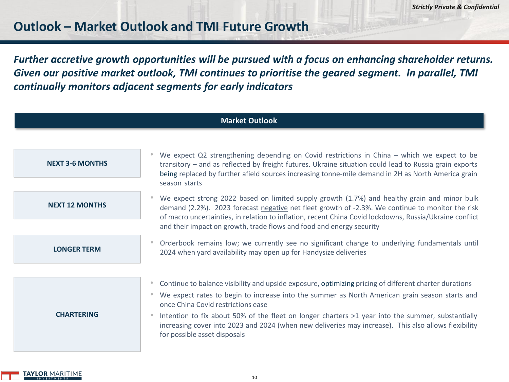### **Outlook – Market Outlook and TMI Future Growth**

*Further accretive growth opportunities will be pursued with a focus on enhancing shareholder returns. Given our positive market outlook, TMI continues to prioritise the geared segment. In parallel, TMI continually monitors adjacent segments for early indicators*

| <b>Market Outlook</b>  |                                                                                                                                                                                                                                                                                                                                                                                                                                                                                                                                                 |  |  |  |  |  |
|------------------------|-------------------------------------------------------------------------------------------------------------------------------------------------------------------------------------------------------------------------------------------------------------------------------------------------------------------------------------------------------------------------------------------------------------------------------------------------------------------------------------------------------------------------------------------------|--|--|--|--|--|
|                        |                                                                                                                                                                                                                                                                                                                                                                                                                                                                                                                                                 |  |  |  |  |  |
| <b>NEXT 3-6 MONTHS</b> | We expect Q2 strengthening depending on Covid restrictions in China – which we expect to be<br>transitory - and as reflected by freight futures. Ukraine situation could lead to Russia grain exports<br>being replaced by further afield sources increasing tonne-mile demand in 2H as North America grain                                                                                                                                                                                                                                     |  |  |  |  |  |
|                        | season starts                                                                                                                                                                                                                                                                                                                                                                                                                                                                                                                                   |  |  |  |  |  |
| <b>NEXT 12 MONTHS</b>  | We expect strong 2022 based on limited supply growth (1.7%) and healthy grain and minor bulk<br>demand (2.2%). 2023 forecast negative net fleet growth of -2.3%. We continue to monitor the risk<br>of macro uncertainties, in relation to inflation, recent China Covid lockdowns, Russia/Ukraine conflict                                                                                                                                                                                                                                     |  |  |  |  |  |
|                        | and their impact on growth, trade flows and food and energy security                                                                                                                                                                                                                                                                                                                                                                                                                                                                            |  |  |  |  |  |
| <b>LONGER TERM</b>     | Orderbook remains low; we currently see no significant change to underlying fundamentals until<br>$\bullet$<br>2024 when yard availability may open up for Handysize deliveries                                                                                                                                                                                                                                                                                                                                                                 |  |  |  |  |  |
|                        |                                                                                                                                                                                                                                                                                                                                                                                                                                                                                                                                                 |  |  |  |  |  |
| <b>CHARTERING</b>      | Continue to balance visibility and upside exposure, optimizing pricing of different charter durations<br>$\color{black} \bullet$<br>We expect rates to begin to increase into the summer as North American grain season starts and<br>$\bullet$<br>once China Covid restrictions ease<br>Intention to fix about 50% of the fleet on longer charters >1 year into the summer, substantially<br>$\bullet$<br>increasing cover into 2023 and 2024 (when new deliveries may increase). This also allows flexibility<br>for possible asset disposals |  |  |  |  |  |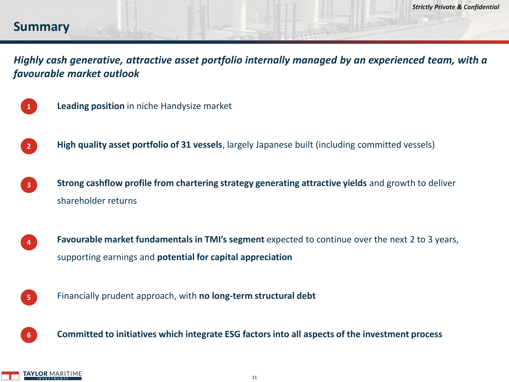#### **Summary**

*Highly cash generative, attractive asset portfolio internally managed by an experienced team, with a favourable market outlook*



- **Leading position** in niche Handysize market
- **High quality asset portfolio of 31 vessels**, largely Japanese built (including committed vessels) **2**
- **Strong cashflow profile from chartering strategy generating attractive yields** and growth to deliver shareholder returns **3**
- **Favourable market fundamentals in TMI's segment** expected to continue over the next 2 to 3 years, supporting earnings and **potential for capital appreciation 4**
- Financially prudent approach, with **no long-term structural debt 5**
	- **Committed to initiatives which integrate ESG factors into all aspects of the investment process**

**6**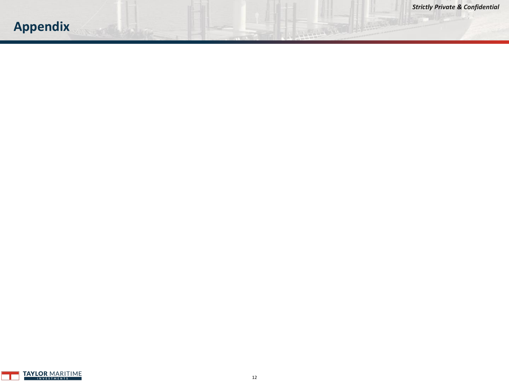# **Appendix**

THE TABLE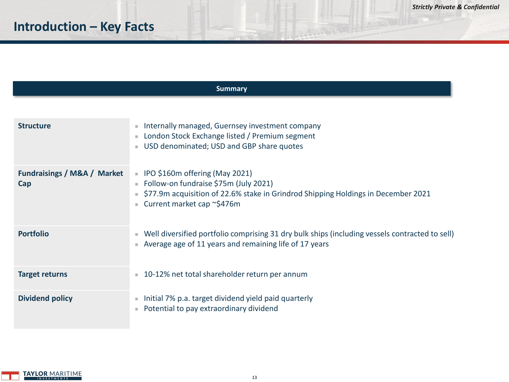# **Introduction – Key Facts**

| <b>Summary</b>                                |                                                                                                                                                                                                              |  |  |  |  |  |
|-----------------------------------------------|--------------------------------------------------------------------------------------------------------------------------------------------------------------------------------------------------------------|--|--|--|--|--|
|                                               |                                                                                                                                                                                                              |  |  |  |  |  |
| <b>Structure</b>                              | Internally managed, Guernsey investment company<br>ш<br>London Stock Exchange listed / Premium segment<br>USD denominated; USD and GBP share quotes                                                          |  |  |  |  |  |
| <b>Fundraisings / M&amp;A / Market</b><br>Cap | IPO \$160m offering (May 2021)<br>$\bar{a}$<br>Follow-on fundraise \$75m (July 2021)<br>ш<br>\$77.9m acquisition of 22.6% stake in Grindrod Shipping Holdings in December 2021<br>Current market cap ~\$476m |  |  |  |  |  |
| <b>Portfolio</b>                              | Well diversified portfolio comprising 31 dry bulk ships (including vessels contracted to sell)<br>ш<br>Average age of 11 years and remaining life of 17 years                                                |  |  |  |  |  |
| <b>Target returns</b>                         | 10-12% net total shareholder return per annum<br>×.                                                                                                                                                          |  |  |  |  |  |
| <b>Dividend policy</b>                        | Initial 7% p.a. target dividend yield paid quarterly<br>×<br>Potential to pay extraordinary dividend                                                                                                         |  |  |  |  |  |